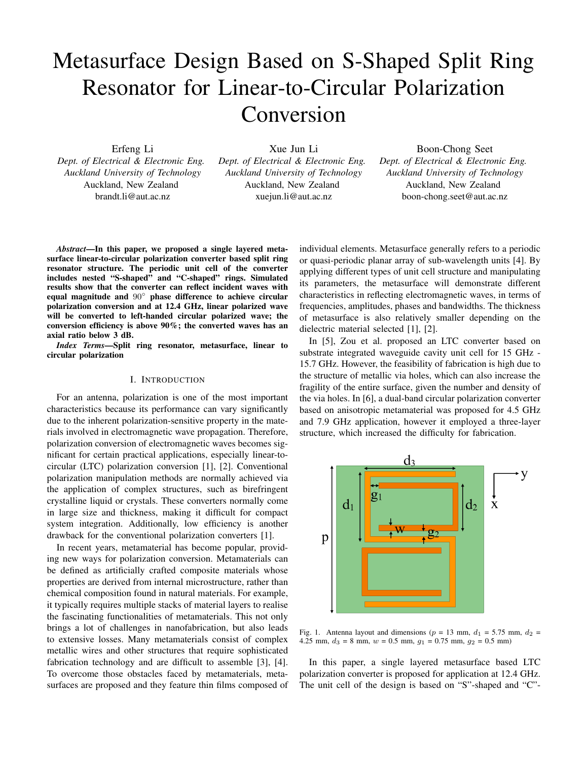# Metasurface Design Based on S-Shaped Split Ring Resonator for Linear-to-Circular Polarization Conversion

Erfeng Li

*Dept. of Electrical & Electronic Eng. Auckland University of Technology* Auckland, New Zealand brandt.li@aut.ac.nz

Xue Jun Li *Dept. of Electrical & Electronic Eng. Auckland University of Technology* Auckland, New Zealand xuejun.li@aut.ac.nz

Boon-Chong Seet *Dept. of Electrical & Electronic Eng. Auckland University of Technology* Auckland, New Zealand boon-chong.seet@aut.ac.nz

*Abstract*—In this paper, we proposed a single layered metasurface linear-to-circular polarization converter based split ring resonator structure. The periodic unit cell of the converter includes nested "S-shaped" and "C-shaped" rings. Simulated results show that the converter can reflect incident waves with equal magnitude and 90° phase difference to achieve circular polarization conversion and at 12.4 GHz, linear polarized wave will be converted to left-handed circular polarized wave; the conversion efficiency is above 90%; the converted waves has an axial ratio below 3 dB.

*Index Terms*—Split ring resonator, metasurface, linear to circular polarization

### I. INTRODUCTION

For an antenna, polarization is one of the most important characteristics because its performance can vary significantly due to the inherent polarization-sensitive property in the materials involved in electromagnetic wave propagation. Therefore, polarization conversion of electromagnetic waves becomes significant for certain practical applications, especially linear-tocircular (LTC) polarization conversion [1], [2]. Conventional polarization manipulation methods are normally achieved via the application of complex structures, such as birefringent crystalline liquid or crystals. These converters normally come in large size and thickness, making it difficult for compact system integration. Additionally, low efficiency is another drawback for the conventional polarization converters [1].

In recent years, metamaterial has become popular, providing new ways for polarization conversion. Metamaterials can be defined as artificially crafted composite materials whose properties are derived from internal microstructure, rather than chemical composition found in natural materials. For example, it typically requires multiple stacks of material layers to realise the fascinating functionalities of metamaterials. This not only brings a lot of challenges in nanofabrication, but also leads to extensive losses. Many metamaterials consist of complex metallic wires and other structures that require sophisticated fabrication technology and are difficult to assemble [3], [4]. To overcome those obstacles faced by metamaterials, metasurfaces are proposed and they feature thin films composed of individual elements. Metasurface generally refers to a periodic or quasi-periodic planar array of sub-wavelength units [4]. By applying different types of unit cell structure and manipulating its parameters, the metasurface will demonstrate different characteristics in reflecting electromagnetic waves, in terms of frequencies, amplitudes, phases and bandwidths. The thickness of metasurface is also relatively smaller depending on the dielectric material selected [1], [2].

In [5], Zou et al. proposed an LTC converter based on substrate integrated waveguide cavity unit cell for 15 GHz - 15.7 GHz. However, the feasibility of fabrication is high due to the structure of metallic via holes, which can also increase the fragility of the entire surface, given the number and density of the via holes. In [6], a dual-band circular polarization converter based on anisotropic metamaterial was proposed for 4.5 GHz and 7.9 GHz application, however it employed a three-layer structure, which increased the difficulty for fabrication.



Fig. 1. Antenna layout and dimensions ( $p = 13$  mm,  $d_1 = 5.75$  mm,  $d_2 =$ 4.25 mm,  $d_3 = 8$  mm,  $w = 0.5$  mm,  $g_1 = 0.75$  mm,  $g_2 = 0.5$  mm)

In this paper, a single layered metasurface based LTC polarization converter is proposed for application at 12.4 GHz. The unit cell of the design is based on "S"-shaped and "C"-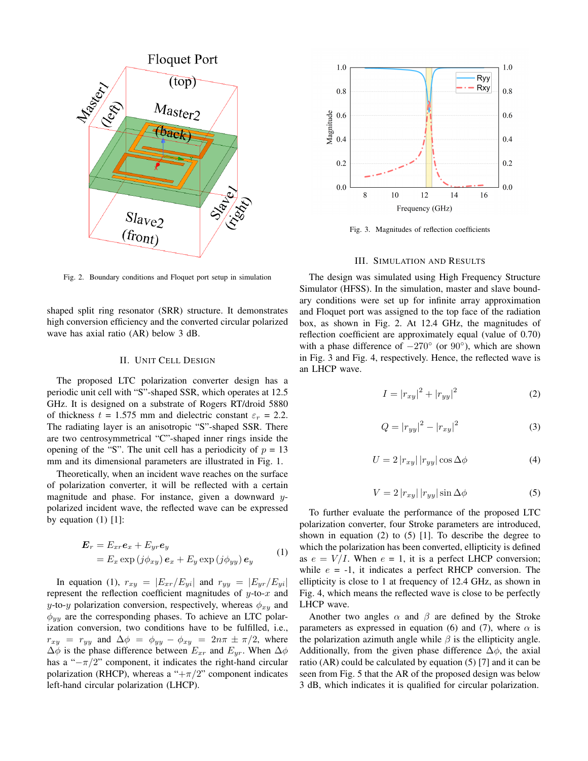

Fig. 2. Boundary conditions and Floquet port setup in simulation

shaped split ring resonator (SRR) structure. It demonstrates high conversion efficiency and the converted circular polarized wave has axial ratio (AR) below 3 dB.

## II. UNIT CELL DESIGN

The proposed LTC polarization converter design has a periodic unit cell with "S"-shaped SSR, which operates at 12.5 GHz. It is designed on a substrate of Rogers RT/droid 5880 of thickness  $t = 1.575$  mm and dielectric constant  $\varepsilon_r = 2.2$ . The radiating layer is an anisotropic "S"-shaped SSR. There are two centrosymmetrical "C"-shaped inner rings inside the opening of the "S". The unit cell has a periodicity of  $p = 13$ mm and its dimensional parameters are illustrated in Fig. 1.

Theoretically, when an incident wave reaches on the surface of polarization converter, it will be reflected with a certain magnitude and phase. For instance, given a downward ypolarized incident wave, the reflected wave can be expressed by equation  $(1)$  [1]:

$$
\begin{aligned} \mathbf{E}_r &= E_{xr}\mathbf{e}_x + E_{yr}\mathbf{e}_y \\ &= E_x \exp\left(j\phi_{xy}\right)\mathbf{e}_x + E_y \exp\left(j\phi_{yy}\right)\mathbf{e}_y \end{aligned} \tag{1}
$$

In equation (1),  $r_{xy} = |E_{xr}/E_{yi}|$  and  $r_{yy} = |E_{yr}/E_{yi}|$ represent the reflection coefficient magnitudes of  $y$ -to- $x$  and y-to-y polarization conversion, respectively, whereas  $\phi_{xy}$  and  $\phi_{yy}$  are the corresponding phases. To achieve an LTC polarization conversion, two conditions have to be fulfilled, i.e.,  $r_{xy} = r_{yy}$  and  $\Delta \phi = \phi_{yy} - \phi_{xy} = 2n\pi \pm \pi/2$ , where  $\Delta\phi$  is the phase difference between  $E_{xx}$  and  $E_{yy}$ . When  $\Delta\phi$ has a " $-\pi/2$ " component, it indicates the right-hand circular polarization (RHCP), whereas a " $+\pi/2$ " component indicates left-hand circular polarization (LHCP).



Fig. 3. Magnitudes of reflection coefficients

#### III. SIMULATION AND RESULTS

The design was simulated using High Frequency Structure Simulator (HFSS). In the simulation, master and slave boundary conditions were set up for infinite array approximation and Floquet port was assigned to the top face of the radiation box, as shown in Fig. 2. At 12.4 GHz, the magnitudes of reflection coefficient are approximately equal (value of 0.70) with a phase difference of  $-270^\circ$  (or  $90^\circ$ ), which are shown in Fig. 3 and Fig. 4, respectively. Hence, the reflected wave is an LHCP wave.

$$
I = |r_{xy}|^2 + |r_{yy}|^2 \tag{2}
$$

$$
Q = |r_{yy}|^2 - |r_{xy}|^2
$$
 (3)

$$
U = 2|r_{xy}| |r_{yy}| \cos \Delta \phi \tag{4}
$$

$$
V = 2|r_{xy}| |r_{yy}| \sin \Delta \phi \tag{5}
$$

To further evaluate the performance of the proposed LTC polarization converter, four Stroke parameters are introduced, shown in equation (2) to  $(5)$  [1]. To describe the degree to which the polarization has been converted, ellipticity is defined as  $e = V/I$ . When  $e = 1$ , it is a perfect LHCP conversion; while  $e = -1$ , it indicates a perfect RHCP conversion. The ellipticity is close to 1 at frequency of 12.4 GHz, as shown in Fig. 4, which means the reflected wave is close to be perfectly LHCP wave.

Another two angles  $\alpha$  and  $\beta$  are defined by the Stroke parameters as expressed in equation (6) and (7), where  $\alpha$  is the polarization azimuth angle while  $\beta$  is the ellipticity angle. Additionally, from the given phase difference  $\Delta \phi$ , the axial ratio (AR) could be calculated by equation (5) [7] and it can be seen from Fig. 5 that the AR of the proposed design was below 3 dB, which indicates it is qualified for circular polarization.